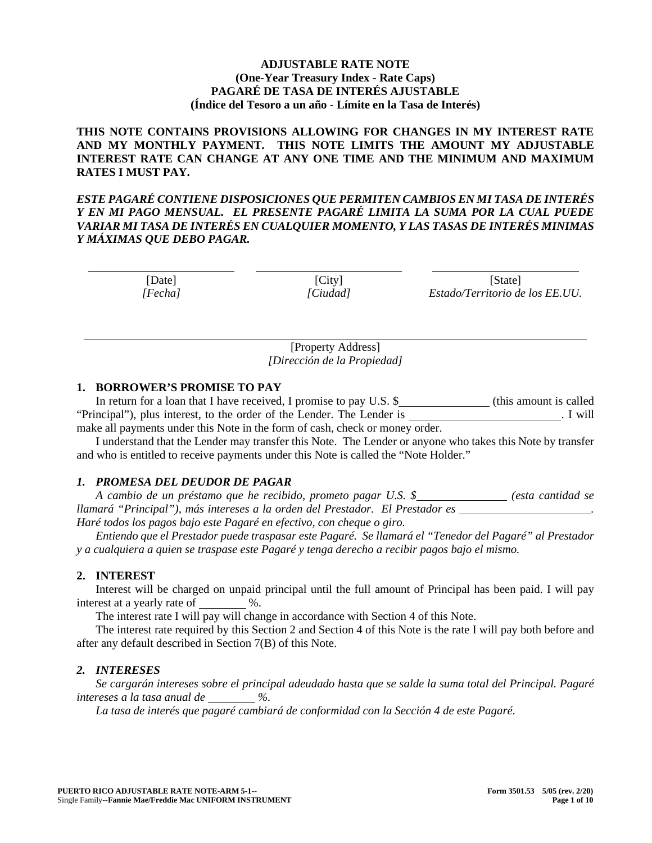## **ADJUSTABLE RATE NOTE (One-Year Treasury Index - Rate Caps) PAGARÉ DE TASA DE INTERÉS AJUSTABLE (Índice del Tesoro a un año - Límite en la Tasa de Interés)**

**THIS NOTE CONTAINS PROVISIONS ALLOWING FOR CHANGES IN MY INTEREST RATE AND MY MONTHLY PAYMENT. THIS NOTE LIMITS THE AMOUNT MY ADJUSTABLE INTEREST RATE CAN CHANGE AT ANY ONE TIME AND THE MINIMUM AND MAXIMUM RATES I MUST PAY.** 

*ESTE PAGARÉ CONTIENE DISPOSICIONES QUE PERMITEN CAMBIOS EN MI TASA DE INTERÉS Y EN MI PAGO MENSUAL. EL PRESENTE PAGARÉ LIMITA LA SUMA POR LA CUAL PUEDE VARIAR MI TASA DE INTERÉS EN CUALQUIER MOMENTO, Y LAS TASAS DE INTERÉS MINIMAS Y MÁXIMAS QUE DEBO PAGAR.* 

> [Date] *[Fecha]*

 $\overline{a}$ 

 $[City]$ *[Ciudad]*

[State] *Estado/Territorio de los EE.UU.*

 $\overline{a}$ 

[Property Address] *[Dirección de la Propiedad]*

# **1. BORROWER'S PROMISE TO PAY**

In return for a loan that I have received, I promise to pay U.S. \$\_\_\_\_\_\_\_\_\_\_\_\_\_\_(this amount is called "Principal"), plus interest, to the order of the Lender. The Lender is . I will make all payments under this Note in the form of cash, check or money order.

I understand that the Lender may transfer this Note. The Lender or anyone who takes this Note by transfer and who is entitled to receive payments under this Note is called the "Note Holder."

# *1. PROMESA DEL DEUDOR DE PAGAR*

*A cambio de un préstamo que he recibido, prometo pagar U.S. \$ (esta cantidad se llamará "Principal"), más intereses a la orden del Prestador. El Prestador es Haré todos los pagos bajo este Pagaré en efectivo, con cheque o giro.*

*Entiendo que el Prestador puede traspasar este Pagaré. Se llamará el "Tenedor del Pagaré" al Prestador y a cualquiera a quien se traspase este Pagaré y tenga derecho a recibir pagos bajo el mismo.*

# **2. INTEREST**

Interest will be charged on unpaid principal until the full amount of Principal has been paid. I will pay interest at a yearly rate of  $\%$ .

The interest rate I will pay will change in accordance with Section 4 of this Note.

The interest rate required by this Section 2 and Section 4 of this Note is the rate I will pay both before and after any default described in Section 7(B) of this Note.

# *2. INTERESES*

*Se cargarán intereses sobre el principal adeudado hasta que se salde la suma total del Principal. Pagaré intereses a la tasa anual de %.* 

*La tasa de interés que pagaré cambiará de conformidad con la Sección 4 de este Pagaré.*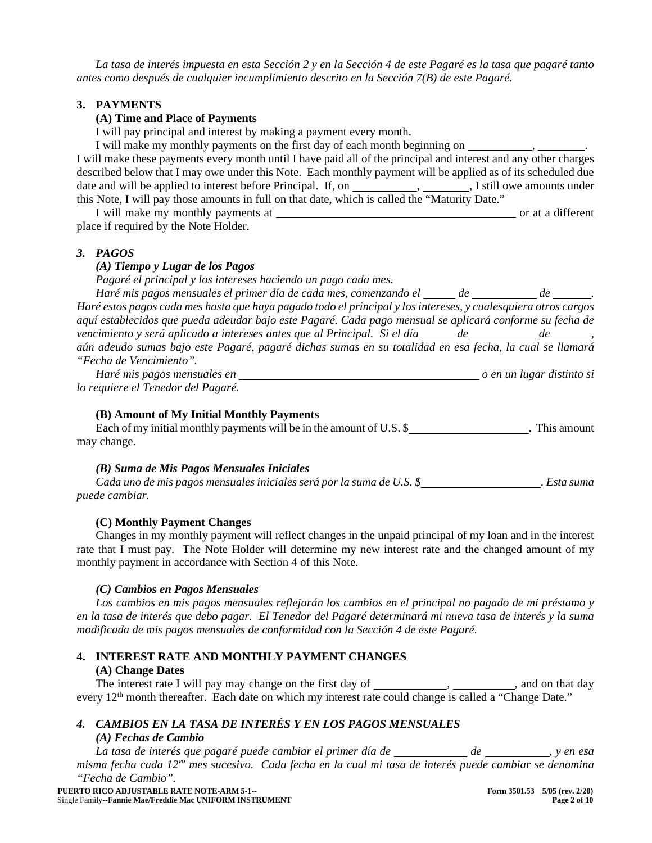*La tasa de interés impuesta en esta Sección 2 y en la Sección 4 de este Pagaré es la tasa que pagaré tanto antes como después de cualquier incumplimiento descrito en la Sección 7(B) de este Pagaré.*

# **3. PAYMENTS**

## **(A) Time and Place of Payments**

I will pay principal and interest by making a payment every month.

I will make my monthly payments on the first day of each month beginning on , I will make these payments every month until I have paid all of the principal and interest and any other charges described below that I may owe under this Note. Each monthly payment will be applied as of its scheduled due date and will be applied to interest before Principal. If, on , , I still owe amounts under this Note, I will pay those amounts in full on that date, which is called the "Maturity Date."

I will make my monthly payments at  $\blacksquare$ place if required by the Note Holder.

## *3. PAGOS*

#### *(A) Tiempo y Lugar de los Pagos*

*Pagaré el principal y los intereses haciendo un pago cada mes.*

*Haré mis pagos mensuales el primer día de cada mes, comenzando el \_\_\_\_\_de \_\_\_\_\_\_\_de \_\_\_\_\_\_. Haré estos pagos cada mes hasta que haya pagado todo el principal y los intereses, y cualesquiera otros cargos aquí establecidos que pueda adeudar bajo este Pagaré. Cada pago mensual se aplicará conforme su fecha de vencimiento y será aplicado a intereses antes que al Principal. Si el día*  $de$  de de de , *aún adeudo sumas bajo este Pagaré, pagaré dichas sumas en su totalidad en esa fecha, la cual se llamará "Fecha de Vencimiento".*

*Haré mis pagos mensuales en* <u>contracts de la proposa distinto si proposa distinto si en un lugar distinto si</u> *lo requiere el Tenedor del Pagaré.*

# **(B) Amount of My Initial Monthly Payments**

Each of my initial monthly payments will be in the amount of U.S. \$ . This amount may change.

# *(B) Suma de Mis Pagos Mensuales Iniciales*

*Cada uno de mis pagos mensuales iniciales será por la suma de U.S. \$ . Esta suma puede cambiar.*

#### **(C) Monthly Payment Changes**

Changes in my monthly payment will reflect changes in the unpaid principal of my loan and in the interest rate that I must pay. The Note Holder will determine my new interest rate and the changed amount of my monthly payment in accordance with Section 4 of this Note.

# *(C) Cambios en Pagos Mensuales*

*Los cambios en mis pagos mensuales reflejarán los cambios en el principal no pagado de mi préstamo y en la tasa de interés que debo pagar. El Tenedor del Pagaré determinará mi nueva tasa de interés y la suma modificada de mis pagos mensuales de conformidad con la Sección 4 de este Pagaré.*

# **4. INTEREST RATE AND MONTHLY PAYMENT CHANGES**

## **(A) Change Dates**

The interest rate I will pay may change on the first day of  $\_\_\_\_\_\_\_\_\$ ,  $\_\_\_\_\_\_$  , and on that day every 12<sup>th</sup> month thereafter. Each date on which my interest rate could change is called a "Change Date."

## *4. CAMBIOS EN LA TASA DE INTERÉS Y EN LOS PAGOS MENSUALES*

## *(A) Fechas de Cambio*

*La tasa de interés que pagaré puede cambiar el primer día de \_\_\_\_\_\_\_\_\_\_\_\_de \_\_\_\_\_\_\_\_\_\_\_, y en esa misma fecha cada 12vo mes sucesivo. Cada fecha en la cual mi tasa de interés puede cambiar se denomina "Fecha de Cambio".*

**PUERTO RICO ADJUSTABLE RATE NOTE-ARM 5-1**-- **Form 3501.53 5/05 (rev. 2/20)**  Single Family--**Fannie Mae/Freddie Mac UNIFORM INSTRUMENT**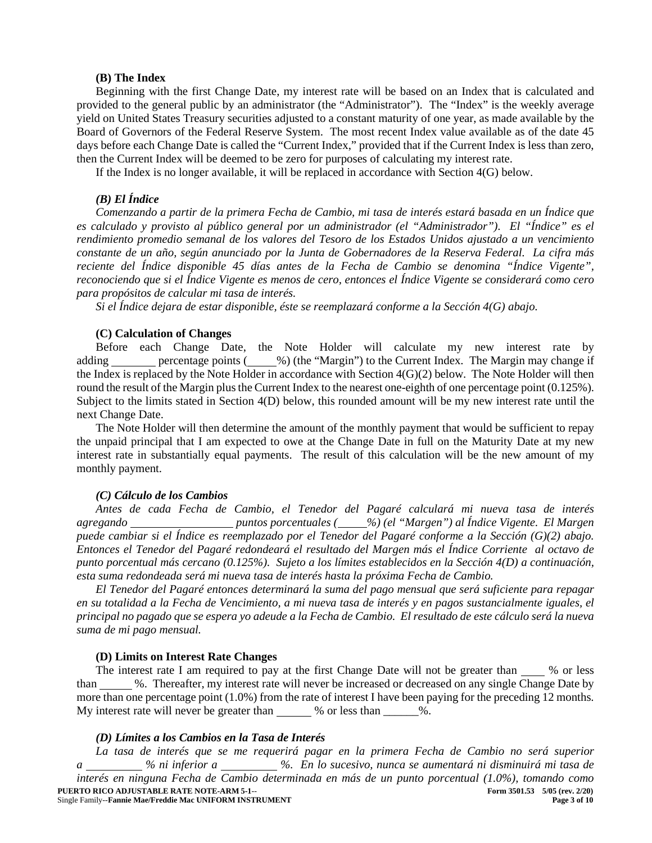#### **(B) The Index**

Beginning with the first Change Date, my interest rate will be based on an Index that is calculated and provided to the general public by an administrator (the "Administrator"). The "Index" is the weekly average yield on United States Treasury securities adjusted to a constant maturity of one year, as made available by the Board of Governors of the Federal Reserve System. The most recent Index value available as of the date 45 days before each Change Date is called the "Current Index," provided that if the Current Index is less than zero, then the Current Index will be deemed to be zero for purposes of calculating my interest rate.

If the Index is no longer available, it will be replaced in accordance with Section 4(G) below.

#### *(B) El Índice*

*Comenzando a partir de la primera Fecha de Cambio, mi tasa de interés estará basada en un Índice que es calculado y provisto al público general por un administrador (el "Administrador"). El "Índice" es el rendimiento promedio semanal de los valores del Tesoro de los Estados Unidos ajustado a un vencimiento constante de un año, según anunciado por la Junta de Gobernadores de la Reserva Federal. La cifra más reciente del Índice disponible 45 días antes de la Fecha de Cambio se denomina "Índice Vigente", reconociendo que si el Índice Vigente es menos de cero, entonces el Índice Vigente se considerará como cero para propósitos de calcular mi tasa de interés.*

*Si el Índice dejara de estar disponible, éste se reemplazará conforme a la Sección 4(G) abajo.*

#### **(C) Calculation of Changes**

Before each Change Date, the Note Holder will calculate my new interest rate by adding <u>percentage points (30%)</u> (the "Margin") to the Current Index. The Margin may change if the Index is replaced by the Note Holder in accordance with Section 4(G)(2) below. The Note Holder will then round the result of the Margin plus the Current Index to the nearest one-eighth of one percentage point (0.125%). Subject to the limits stated in Section 4(D) below, this rounded amount will be my new interest rate until the next Change Date.

The Note Holder will then determine the amount of the monthly payment that would be sufficient to repay the unpaid principal that I am expected to owe at the Change Date in full on the Maturity Date at my new interest rate in substantially equal payments. The result of this calculation will be the new amount of my monthly payment.

#### *(C) Cálculo de los Cambios*

*Antes de cada Fecha de Cambio, el Tenedor del Pagaré calculará mi nueva tasa de interés agregando puntos porcentuales ( %) (el "Margen") al Índice Vigente. El Margen puede cambiar si el Índice es reemplazado por el Tenedor del Pagaré conforme a la Sección (G)(2) abajo. Entonces el Tenedor del Pagaré redondeará el resultado del Margen más el Índice Corriente al octavo de punto porcentual más cercano (0.125%). Sujeto a los límites establecidos en la Sección 4(D) a continuación, esta suma redondeada será mi nueva tasa de interés hasta la próxima Fecha de Cambio.*

*El Tenedor del Pagaré entonces determinará la suma del pago mensual que será suficiente para repagar en su totalidad a la Fecha de Vencimiento, a mi nueva tasa de interés y en pagos sustancialmente iguales, el principal no pagado que se espera yo adeude a la Fecha de Cambio. El resultado de este cálculo será la nueva suma de mi pago mensual.*

#### **(D) Limits on Interest Rate Changes**

The interest rate I am required to pay at the first Change Date will not be greater than % or less than %. Thereafter, my interest rate will never be increased or decreased on any single Change Date by more than one percentage point (1.0%) from the rate of interest I have been paying for the preceding 12 months. My interest rate will never be greater than  $\%$  or less than  $\%$ .

#### *(D) Límites a los Cambios en la Tasa de Interés*

**PUERTO RICO ADJUSTABLE RATE NOTE-ARM 5-1-- Form 3501.53 Form 3501.53** 5/05 (rev. 2/20) <br>Single Family--Fannie Mae/Freddie Mac UNIFORM INSTRUMENT **Page 3 of 10** Single Family--**Fannie Mae/Freddie Mac UNIFORM INSTRUMENT** *La tasa de interés que se me requerirá pagar en la primera Fecha de Cambio no será superior a % ni inferior a %. En lo sucesivo, nunca se aumentará ni disminuirá mi tasa de interés en ninguna Fecha de Cambio determinada en más de un punto porcentual (1.0%), tomando como*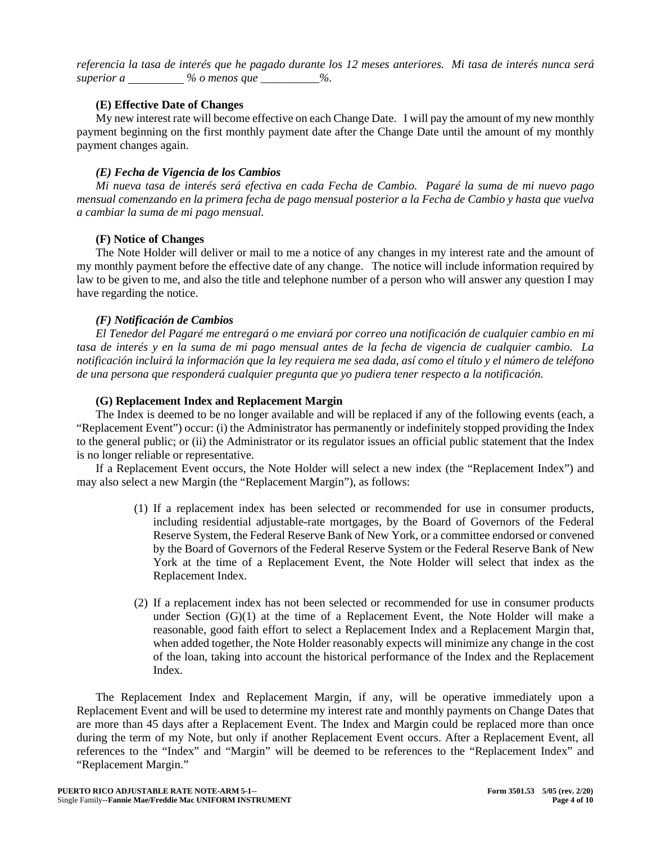*referencia la tasa de interés que he pagado durante los 12 meses anteriores. Mi tasa de interés nunca será superior a % o menos que \_\_\_\_\_\_\_\_\_\_%.*

# **(E) Effective Date of Changes**

My new interest rate will become effective on each Change Date. I will pay the amount of my new monthly payment beginning on the first monthly payment date after the Change Date until the amount of my monthly payment changes again.

## *(E) Fecha de Vigencia de los Cambios*

*Mi nueva tasa de interés será efectiva en cada Fecha de Cambio. Pagaré la suma de mi nuevo pago mensual comenzando en la primera fecha de pago mensual posterior a la Fecha de Cambio y hasta que vuelva a cambiar la suma de mi pago mensual.*

# **(F) Notice of Changes**

The Note Holder will deliver or mail to me a notice of any changes in my interest rate and the amount of my monthly payment before the effective date of any change. The notice will include information required by law to be given to me, and also the title and telephone number of a person who will answer any question I may have regarding the notice.

## *(F) Notificación de Cambios*

*El Tenedor del Pagaré me entregará o me enviará por correo una notificación de cualquier cambio en mi tasa de interés y en la suma de mi pago mensual antes de la fecha de vigencia de cualquier cambio. La notificación incluirá la información que la ley requiera me sea dada, así como el título y el número de teléfono de una persona que responderá cualquier pregunta que yo pudiera tener respecto a la notificación.*

## **(G) Replacement Index and Replacement Margin**

The Index is deemed to be no longer available and will be replaced if any of the following events (each, a "Replacement Event") occur: (i) the Administrator has permanently or indefinitely stopped providing the Index to the general public; or (ii) the Administrator or its regulator issues an official public statement that the Index is no longer reliable or representative.

If a Replacement Event occurs, the Note Holder will select a new index (the "Replacement Index") and may also select a new Margin (the "Replacement Margin"), as follows:

- (1) If a replacement index has been selected or recommended for use in consumer products, including residential adjustable-rate mortgages, by the Board of Governors of the Federal Reserve System, the Federal Reserve Bank of New York, or a committee endorsed or convened by the Board of Governors of the Federal Reserve System or the Federal Reserve Bank of New York at the time of a Replacement Event, the Note Holder will select that index as the Replacement Index.
- (2) If a replacement index has not been selected or recommended for use in consumer products under Section  $(G)(1)$  at the time of a Replacement Event, the Note Holder will make a reasonable, good faith effort to select a Replacement Index and a Replacement Margin that, when added together, the Note Holder reasonably expects will minimize any change in the cost of the loan, taking into account the historical performance of the Index and the Replacement Index.

The Replacement Index and Replacement Margin, if any, will be operative immediately upon a Replacement Event and will be used to determine my interest rate and monthly payments on Change Dates that are more than 45 days after a Replacement Event. The Index and Margin could be replaced more than once during the term of my Note, but only if another Replacement Event occurs. After a Replacement Event, all references to the "Index" and "Margin" will be deemed to be references to the "Replacement Index" and "Replacement Margin."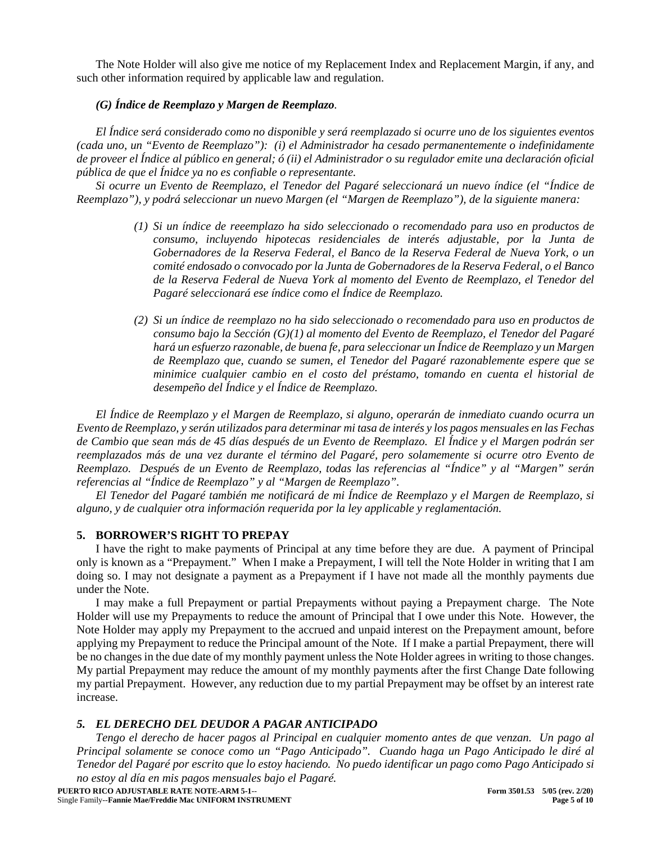The Note Holder will also give me notice of my Replacement Index and Replacement Margin, if any, and such other information required by applicable law and regulation.

# *(G) Índice de Reemplazo y Margen de Reemplazo.*

*El Índice será considerado como no disponible y será reemplazado si ocurre uno de los siguientes eventos (cada uno, un "Evento de Reemplazo"): (i) el Administrador ha cesado permanentemente o indefinidamente de proveer el Índice al público en general; ó (ii) el Administrador o su regulador emite una declaración oficial pública de que el Ínidce ya no es confiable o representante.*

*Si ocurre un Evento de Reemplazo, el Tenedor del Pagaré seleccionará un nuevo índice (el "Índice de Reemplazo"), y podrá seleccionar un nuevo Margen (el "Margen de Reemplazo"), de la siguiente manera:*

- *(1) Si un índice de reeemplazo ha sido seleccionado o recomendado para uso en productos de consumo, incluyendo hipotecas residenciales de interés adjustable, por la Junta de Gobernadores de la Reserva Federal, el Banco de la Reserva Federal de Nueva York, o un comité endosado o convocado por la Junta de Gobernadores de la Reserva Federal, o el Banco de la Reserva Federal de Nueva York al momento del Evento de Reemplazo, el Tenedor del Pagaré seleccionará ese índice como el Índice de Reemplazo.*
- *(2) Si un índice de reemplazo no ha sido seleccionado o recomendado para uso en productos de consumo bajo la Sección (G)(1) al momento del Evento de Reemplazo, el Tenedor del Pagaré hará un esfuerzo razonable, de buena fe, para seleccionar un Índice de Reemplazo y un Margen de Reemplazo que, cuando se sumen, el Tenedor del Pagaré razonablemente espere que se minimice cualquier cambio en el costo del préstamo, tomando en cuenta el historial de desempeño del Índice y el Índice de Reemplazo.*

*El Índice de Reemplazo y el Margen de Reemplazo, si alguno, operarán de inmediato cuando ocurra un Evento de Reemplazo, y serán utilizados para determinar mi tasa de interés y los pagos mensuales en las Fechas de Cambio que sean más de 45 días después de un Evento de Reemplazo. El Índice y el Margen podrán ser reemplazados más de una vez durante el término del Pagaré, pero solamemente si ocurre otro Evento de Reemplazo. Después de un Evento de Reemplazo, todas las referencias al "Índice" y al "Margen" serán referencias al "Índice de Reemplazo" y al "Margen de Reemplazo".*

*El Tenedor del Pagaré también me notificará de mi Índice de Reemplazo y el Margen de Reemplazo, si alguno, y de cualquier otra información requerida por la ley applicable y reglamentación.*

## **5. BORROWER'S RIGHT TO PREPAY**

I have the right to make payments of Principal at any time before they are due. A payment of Principal only is known as a "Prepayment." When I make a Prepayment, I will tell the Note Holder in writing that I am doing so. I may not designate a payment as a Prepayment if I have not made all the monthly payments due under the Note.

I may make a full Prepayment or partial Prepayments without paying a Prepayment charge. The Note Holder will use my Prepayments to reduce the amount of Principal that I owe under this Note. However, the Note Holder may apply my Prepayment to the accrued and unpaid interest on the Prepayment amount, before applying my Prepayment to reduce the Principal amount of the Note. If I make a partial Prepayment, there will be no changes in the due date of my monthly payment unless the Note Holder agrees in writing to those changes. My partial Prepayment may reduce the amount of my monthly payments after the first Change Date following my partial Prepayment. However, any reduction due to my partial Prepayment may be offset by an interest rate increase.

#### *5. EL DERECHO DEL DEUDOR A PAGAR ANTICIPADO*

*Tengo el derecho de hacer pagos al Principal en cualquier momento antes de que venzan. Un pago al Principal solamente se conoce como un "Pago Anticipado". Cuando haga un Pago Anticipado le diré al Tenedor del Pagaré por escrito que lo estoy haciendo. No puedo identificar un pago como Pago Anticipado si no estoy al día en mis pagos mensuales bajo el Pagaré.*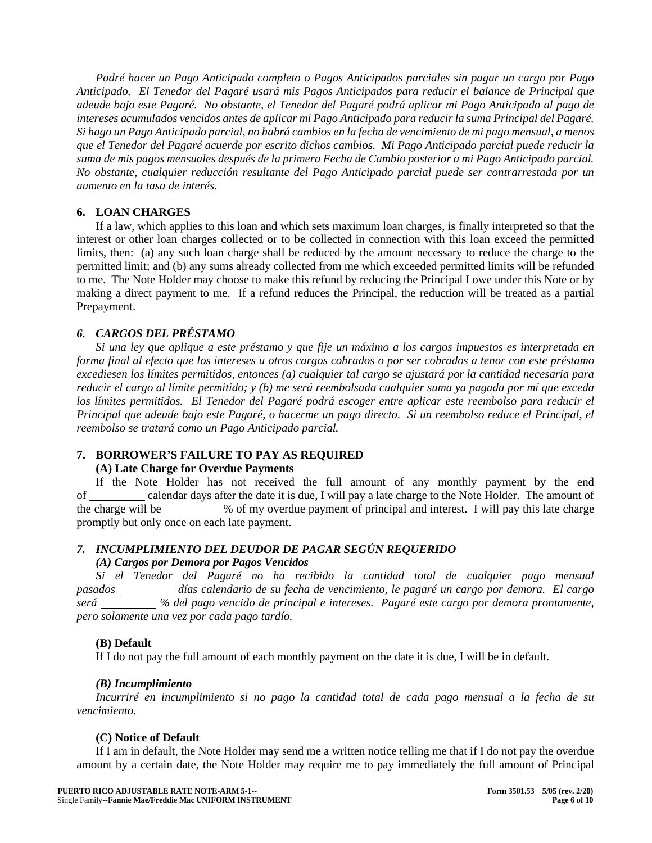*Podré hacer un Pago Anticipado completo o Pagos Anticipados parciales sin pagar un cargo por Pago Anticipado. El Tenedor del Pagaré usará mis Pagos Anticipados para reducir el balance de Principal que adeude bajo este Pagaré. No obstante, el Tenedor del Pagaré podrá aplicar mi Pago Anticipado al pago de intereses acumulados vencidos antes de aplicar mi Pago Anticipado para reducir la suma Principal del Pagaré. Si hago un Pago Anticipado parcial, no habrá cambios en la fecha de vencimiento de mi pago mensual, a menos que el Tenedor del Pagaré acuerde por escrito dichos cambios. Mi Pago Anticipado parcial puede reducir la suma de mis pagos mensuales después de la primera Fecha de Cambio posterior a mi Pago Anticipado parcial. No obstante, cualquier reducción resultante del Pago Anticipado parcial puede ser contrarrestada por un aumento en la tasa de interés.*

# **6. LOAN CHARGES**

If a law, which applies to this loan and which sets maximum loan charges, is finally interpreted so that the interest or other loan charges collected or to be collected in connection with this loan exceed the permitted limits, then: (a) any such loan charge shall be reduced by the amount necessary to reduce the charge to the permitted limit; and (b) any sums already collected from me which exceeded permitted limits will be refunded to me. The Note Holder may choose to make this refund by reducing the Principal I owe under this Note or by making a direct payment to me. If a refund reduces the Principal, the reduction will be treated as a partial Prepayment.

# *6. CARGOS DEL PRÉSTAMO*

*Si una ley que aplique a este préstamo y que fije un máximo a los cargos impuestos es interpretada en forma final al efecto que los intereses u otros cargos cobrados o por ser cobrados a tenor con este préstamo excediesen los límites permitidos, entonces (a) cualquier tal cargo se ajustará por la cantidad necesaria para reducir el cargo al límite permitido; y (b) me será reembolsada cualquier suma ya pagada por mí que exceda los límites permitidos. El Tenedor del Pagaré podrá escoger entre aplicar este reembolso para reducir el Principal que adeude bajo este Pagaré, o hacerme un pago directo. Si un reembolso reduce el Principal, el reembolso se tratará como un Pago Anticipado parcial.*

# **7. BORROWER'S FAILURE TO PAY AS REQUIRED**

# **(A) Late Charge for Overdue Payments**

If the Note Holder has not received the full amount of any monthly payment by the end of calendar days after the date it is due, I will pay a late charge to the Note Holder. The amount of the charge will be \_\_\_\_\_\_\_\_ % of my overdue payment of principal and interest. I will pay this late charge promptly but only once on each late payment.

# *7. INCUMPLIMIENTO DEL DEUDOR DE PAGAR SEGÚN REQUERIDO*

# *(A) Cargos por Demora por Pagos Vencidos*

*Si el Tenedor del Pagaré no ha recibido la cantidad total de cualquier pago mensual*  pasados \_\_\_\_\_\_\_\_\_\_ días calendario de su fecha de vencimiento, le pagaré un cargo por demora. El cargo *será % del pago vencido de principal e intereses. Pagaré este cargo por demora prontamente, pero solamente una vez por cada pago tardío.*

# **(B) Default**

If I do not pay the full amount of each monthly payment on the date it is due, I will be in default.

# *(B) Incumplimiento*

*Incurriré en incumplimiento si no pago la cantidad total de cada pago mensual a la fecha de su vencimiento.*

# **(C) Notice of Default**

If I am in default, the Note Holder may send me a written notice telling me that if I do not pay the overdue amount by a certain date, the Note Holder may require me to pay immediately the full amount of Principal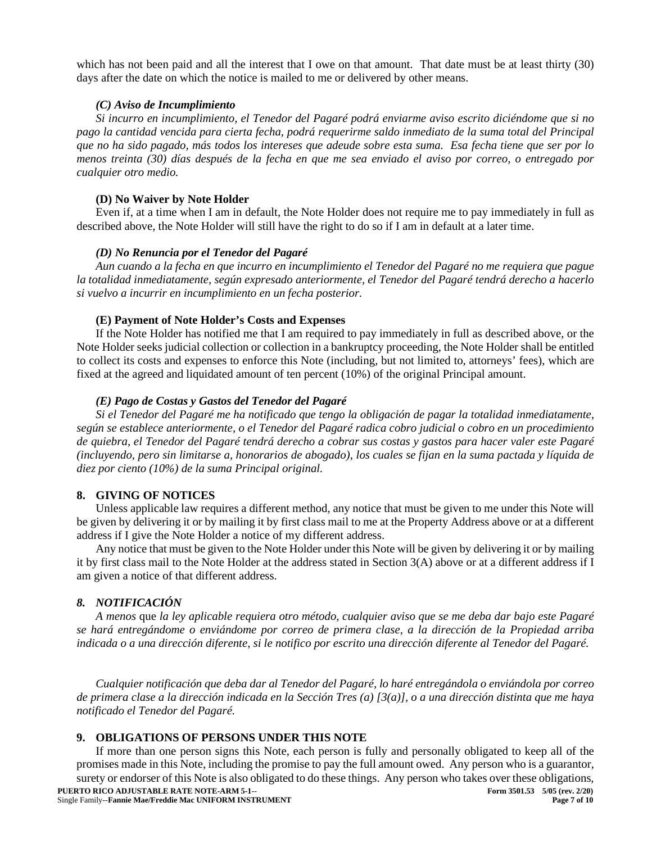which has not been paid and all the interest that I owe on that amount. That date must be at least thirty (30) days after the date on which the notice is mailed to me or delivered by other means.

#### *(C) Aviso de Incumplimiento*

*Si incurro en incumplimiento, el Tenedor del Pagaré podrá enviarme aviso escrito diciéndome que si no pago la cantidad vencida para cierta fecha, podrá requerirme saldo inmediato de la suma total del Principal que no ha sido pagado, más todos los intereses que adeude sobre esta suma. Esa fecha tiene que ser por lo menos treinta (30) días después de la fecha en que me sea enviado el aviso por correo, o entregado por cualquier otro medio.*

## **(D) No Waiver by Note Holder**

Even if, at a time when I am in default, the Note Holder does not require me to pay immediately in full as described above, the Note Holder will still have the right to do so if I am in default at a later time.

## *(D) No Renuncia por el Tenedor del Pagaré*

*Aun cuando a la fecha en que incurro en incumplimiento el Tenedor del Pagaré no me requiera que pague la totalidad inmediatamente, según expresado anteriormente, el Tenedor del Pagaré tendrá derecho a hacerlo si vuelvo a incurrir en incumplimiento en un fecha posterior.*

## **(E) Payment of Note Holder's Costs and Expenses**

If the Note Holder has notified me that I am required to pay immediately in full as described above, or the Note Holder seeks judicial collection or collection in a bankruptcy proceeding, the Note Holder shall be entitled to collect its costs and expenses to enforce this Note (including, but not limited to, attorneys' fees), which are fixed at the agreed and liquidated amount of ten percent (10%) of the original Principal amount.

## *(E) Pago de Costas y Gastos del Tenedor del Pagaré*

*Si el Tenedor del Pagaré me ha notificado que tengo la obligación de pagar la totalidad inmediatamente, según se establece anteriormente, o el Tenedor del Pagaré radica cobro judicial o cobro en un procedimiento de quiebra, el Tenedor del Pagaré tendrá derecho a cobrar sus costas y gastos para hacer valer este Pagaré (incluyendo, pero sin limitarse a, honorarios de abogado), los cuales se fijan en la suma pactada y líquida de diez por ciento (10%) de la suma Principal original.*

# **8. GIVING OF NOTICES**

Unless applicable law requires a different method, any notice that must be given to me under this Note will be given by delivering it or by mailing it by first class mail to me at the Property Address above or at a different address if I give the Note Holder a notice of my different address.

Any notice that must be given to the Note Holder under this Note will be given by delivering it or by mailing it by first class mail to the Note Holder at the address stated in Section 3(A) above or at a different address if I am given a notice of that different address.

# *8. NOTIFICACIÓN*

*A menos* que *la ley aplicable requiera otro método, cualquier aviso que se me deba dar bajo este Pagaré se hará entregándome o enviándome por correo de primera clase, a la dirección de la Propiedad arriba indicada o a una dirección diferente, si le notifico por escrito una dirección diferente al Tenedor del Pagaré.*

*Cualquier notificación que deba dar al Tenedor del Pagaré, lo haré entregándola o enviándola por correo de primera clase a la dirección indicada en la Sección Tres (a) [3(a)], o a una dirección distinta que me haya notificado el Tenedor del Pagaré.*

# **9. OBLIGATIONS OF PERSONS UNDER THIS NOTE**

If more than one person signs this Note, each person is fully and personally obligated to keep all of the promises made in this Note, including the promise to pay the full amount owed. Any person who is a guarantor, surety or endorser of this Note is also obligated to do these things. Any person who takes over these obligations,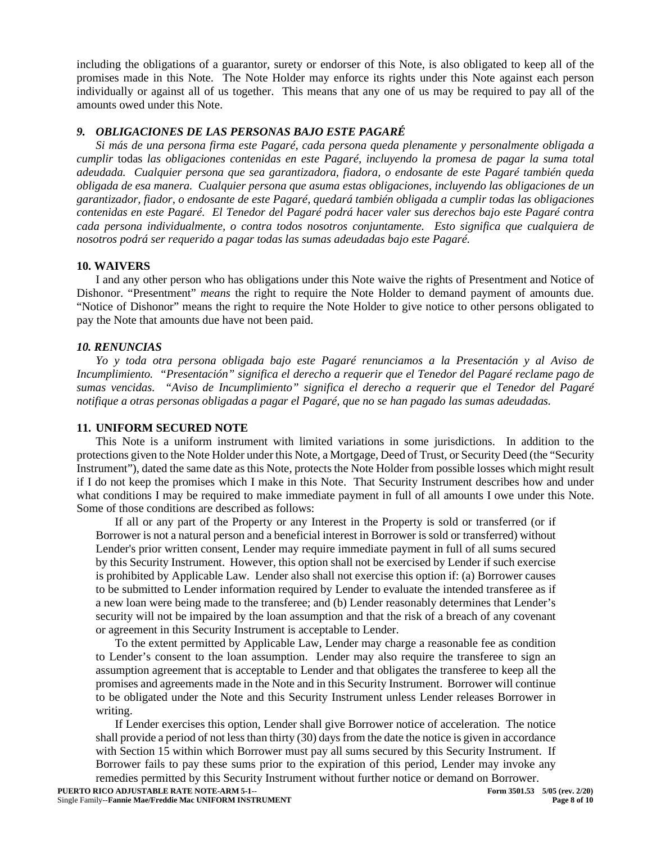including the obligations of a guarantor, surety or endorser of this Note, is also obligated to keep all of the promises made in this Note. The Note Holder may enforce its rights under this Note against each person individually or against all of us together. This means that any one of us may be required to pay all of the amounts owed under this Note.

# *9. OBLIGACIONES DE LAS PERSONAS BAJO ESTE PAGARÉ*

*Si más de una persona firma este Pagaré, cada persona queda plenamente y personalmente obligada a cumplir* todas *las obligaciones contenidas en este Pagaré, incluyendo la promesa de pagar la suma total adeudada. Cualquier persona que sea garantizadora, fiadora, o endosante de este Pagaré también queda obligada de esa manera. Cualquier persona que asuma estas obligaciones, incluyendo las obligaciones de un garantizador, fiador, o endosante de este Pagaré, quedará también obligada a cumplir todas las obligaciones contenidas en este Pagaré. El Tenedor del Pagaré podrá hacer valer sus derechos bajo este Pagaré contra cada persona individualmente, o contra todos nosotros conjuntamente. Esto significa que cualquiera de nosotros podrá ser requerido a pagar todas las sumas adeudadas bajo este Pagaré.*

#### **10. WAIVERS**

I and any other person who has obligations under this Note waive the rights of Presentment and Notice of Dishonor. "Presentment" *means* the right to require the Note Holder to demand payment of amounts due. "Notice of Dishonor" means the right to require the Note Holder to give notice to other persons obligated to pay the Note that amounts due have not been paid.

## *10. RENUNCIAS*

*Yo y toda otra persona obligada bajo este Pagaré renunciamos a la Presentación y al Aviso de Incumplimiento. "Presentación" significa el derecho a requerir que el Tenedor del Pagaré reclame pago de sumas vencidas. "Aviso de Incumplimiento" significa el derecho a requerir que el Tenedor del Pagaré notifique a otras personas obligadas a pagar el Pagaré, que no se han pagado las sumas adeudadas.*

## **11. UNIFORM SECURED NOTE**

This Note is a uniform instrument with limited variations in some jurisdictions. In addition to the protections given to the Note Holder under this Note, a Mortgage, Deed of Trust, or Security Deed (the "Security Instrument"), dated the same date as this Note, protects the Note Holder from possible losses which might result if I do not keep the promises which I make in this Note. That Security Instrument describes how and under what conditions I may be required to make immediate payment in full of all amounts I owe under this Note. Some of those conditions are described as follows:

If all or any part of the Property or any Interest in the Property is sold or transferred (or if Borrower is not a natural person and a beneficial interest in Borrower is sold or transferred) without Lender's prior written consent, Lender may require immediate payment in full of all sums secured by this Security Instrument. However, this option shall not be exercised by Lender if such exercise is prohibited by Applicable Law. Lender also shall not exercise this option if: (a) Borrower causes to be submitted to Lender information required by Lender to evaluate the intended transferee as if a new loan were being made to the transferee; and (b) Lender reasonably determines that Lender's security will not be impaired by the loan assumption and that the risk of a breach of any covenant or agreement in this Security Instrument is acceptable to Lender.

To the extent permitted by Applicable Law, Lender may charge a reasonable fee as condition to Lender's consent to the loan assumption. Lender may also require the transferee to sign an assumption agreement that is acceptable to Lender and that obligates the transferee to keep all the promises and agreements made in the Note and in this Security Instrument. Borrower will continue to be obligated under the Note and this Security Instrument unless Lender releases Borrower in writing.

If Lender exercises this option, Lender shall give Borrower notice of acceleration. The notice shall provide a period of not less than thirty (30) days from the date the notice is given in accordance with Section 15 within which Borrower must pay all sums secured by this Security Instrument. If Borrower fails to pay these sums prior to the expiration of this period, Lender may invoke any remedies permitted by this Security Instrument without further notice or demand on Borrower.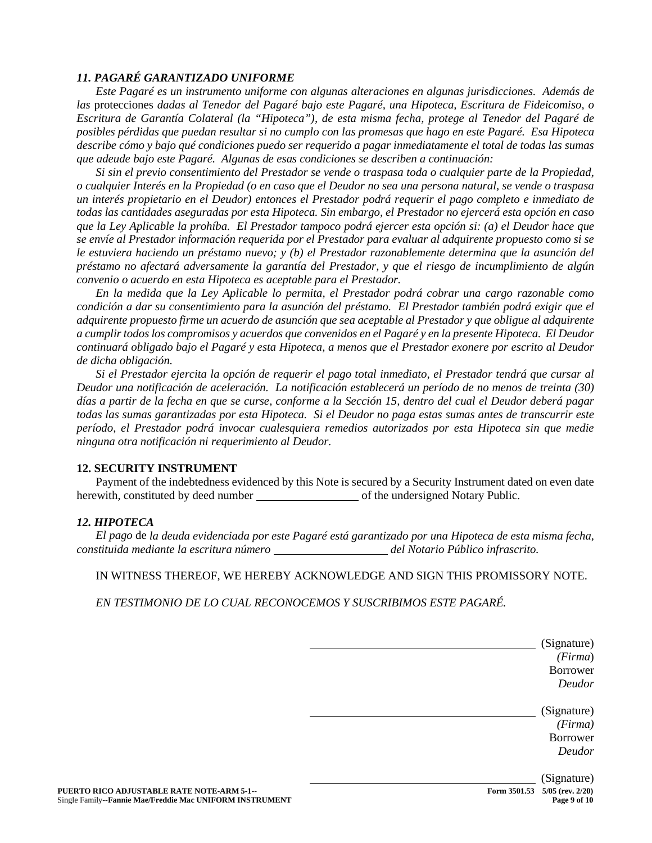# *11. PAGARÉ GARANTIZADO UNIFORME*

*Este Pagaré es un instrumento uniforme con algunas alteraciones en algunas jurisdicciones. Además de las* protecciones *dadas al Tenedor del Pagaré bajo este Pagaré, una Hipoteca, Escritura de Fideicomiso, o Escritura de Garantía Colateral (la "Hipoteca"), de esta misma fecha, protege al Tenedor del Pagaré de posibles pérdidas que puedan resultar si no cumplo con las promesas que hago en este Pagaré. Esa Hipoteca describe cómo y bajo qué condiciones puedo ser requerido a pagar inmediatamente el total de todas las sumas que adeude bajo este Pagaré. Algunas de esas condiciones se describen a continuación:*

*Si sin el previo consentimiento del Prestador se vende o traspasa toda o cualquier parte de la Propiedad, o cualquier Interés en la Propiedad (o en caso que el Deudor no sea una persona natural, se vende o traspasa un interés propietario en el Deudor) entonces el Prestador podrá requerir el pago completo e inmediato de todas las cantidades aseguradas por esta Hipoteca. Sin embargo, el Prestador no ejercerá esta opción en caso que la Ley Aplicable la prohíba. El Prestador tampoco podrá ejercer esta opción si: (a) el Deudor hace que se envíe al Prestador información requerida por el Prestador para evaluar al adquirente propuesto como si se le estuviera haciendo un préstamo nuevo; y (b) el Prestador razonablemente determina que la asunción del préstamo no afectará adversamente la garantía del Prestador, y que el riesgo de incumplimiento de algún convenio o acuerdo en esta Hipoteca es aceptable para el Prestador.*

*En la medida que la Ley Aplicable lo permita, el Prestador podrá cobrar una cargo razonable como condición a dar su consentimiento para la asunción del préstamo. El Prestador también podrá exigir que el adquirente propuesto firme un acuerdo de asunción que sea aceptable al Prestador y que obligue al adquirente a cumplir todos los compromisos y acuerdos que convenidos en el Pagaré y en la presente Hipoteca. El Deudor continuará obligado bajo el Pagaré y esta Hipoteca, a menos que el Prestador exonere por escrito al Deudor de dicha obligación.*

*Si el Prestador ejercita la opción de requerir el pago total inmediato, el Prestador tendrá que cursar al Deudor una notificación de aceleración. La notificación establecerá un período de no menos de treinta (30) días a partir de la fecha en que se curse, conforme a la Sección 15, dentro del cual el Deudor deberá pagar todas las sumas garantizadas por esta Hipoteca. Si el Deudor no paga estas sumas antes de transcurrir este período, el Prestador podrá invocar cualesquiera remedios autorizados por esta Hipoteca sin que medie ninguna otra notificación ni requerimiento al Deudor.* 

#### **12. SECURITY INSTRUMENT**

Payment of the indebtedness evidenced by this Note is secured by a Security Instrument dated on even date herewith, constituted by deed number of the undersigned Notary Public.

#### *12. HIPOTECA*

*El pago* de *la deuda evidenciada por este Pagaré está garantizado por una Hipoteca de esta misma fecha, constituida mediante la escritura número del Notario Público infrascrito.*

IN WITNESS THEREOF, WE HEREBY ACKNOWLEDGE AND SIGN THIS PROMISSORY NOTE.

*EN TESTIMONIO DE LO CUAL RECONOCEMOS Y SUSCRIBIMOS ESTE PAGARÉ.*

|                                                                                                        |              | (Signature)<br>(Firma)<br>Borrower<br>Deudor      |
|--------------------------------------------------------------------------------------------------------|--------------|---------------------------------------------------|
|                                                                                                        |              | (Signature)<br>(Firma)<br>Borrower<br>Deudor      |
| PUERTO RICO ADJUSTABLE RATE NOTE-ARM 5-1--<br>Single Family--Fannie Mae/Freddie Mac UNIFORM INSTRUMENT | Form 3501.53 | (Signature)<br>$5/05$ (rev. 2/20)<br>Page 9 of 10 |